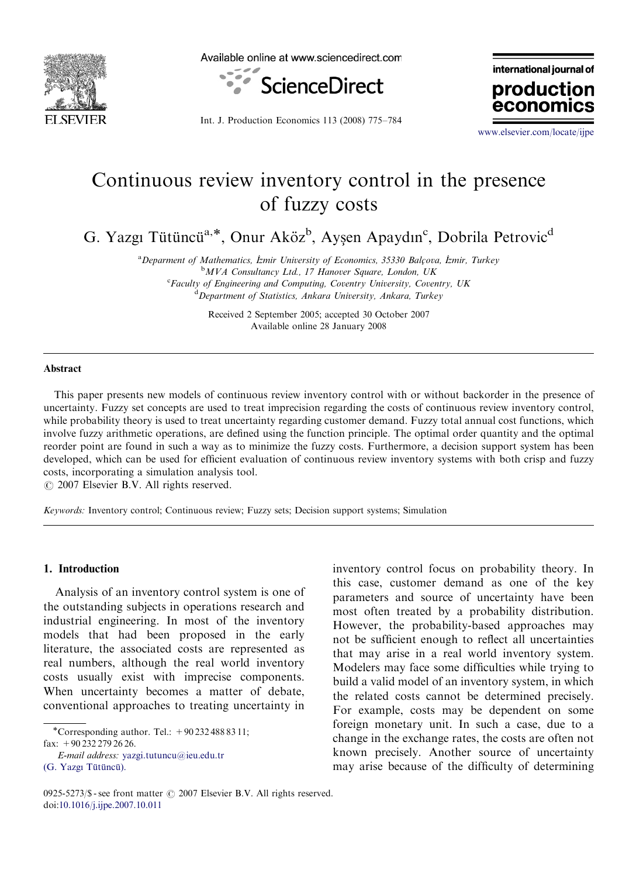

Available online at www.sciencedirect.com



international journal of production

econor Int. J. Production Economics 113 (2008) 775–784

<www.elsevier.com/locate/ijpe>

## Continuous review inventory control in the presence of fuzzy costs

G. Yazgı Tütüncü<sup>a,\*</sup>, Onur Aköz<sup>b</sup>, Ayşen Apaydın<sup>c</sup>, Dobrila Petrovic<sup>d</sup>

<sup>a</sup> Deparment of Mathematics, *İzmir University of Economics*, 35330 Balçova, *İzmir*, Turkey<br><sup>b</sup>MVA Consultanev Ltd., 17 Hanover Saugre, London Lik <sup>b</sup>MVA Consultancy Ltd., 17 Hanover Square, London, UK <sup>c</sup>Faculty of Engineering and Computing, Coventry University, Coventry, UK <sup>d</sup>Department of Statistics, Ankara University, Ankara, Turkey

> Received 2 September 2005; accepted 30 October 2007 Available online 28 January 2008

#### Abstract

This paper presents new models of continuous review inventory control with or without backorder in the presence of uncertainty. Fuzzy set concepts are used to treat imprecision regarding the costs of continuous review inventory control, while probability theory is used to treat uncertainty regarding customer demand. Fuzzy total annual cost functions, which involve fuzzy arithmetic operations, are defined using the function principle. The optimal order quantity and the optimal reorder point are found in such a way as to minimize the fuzzy costs. Furthermore, a decision support system has been developed, which can be used for efficient evaluation of continuous review inventory systems with both crisp and fuzzy costs, incorporating a simulation analysis tool.

 $O$  2007 Elsevier B.V. All rights reserved.

Keywords: Inventory control; Continuous review; Fuzzy sets; Decision support systems; Simulation

#### 1. Introduction

Analysis of an inventory control system is one of the outstanding subjects in operations research and industrial engineering. In most of the inventory models that had been proposed in the early literature, the associated costs are represented as real numbers, although the real world inventory costs usually exist with imprecise components. When uncertainty becomes a matter of debate, conventional approaches to treating uncertainty in

 $\overline{\text{``Corresponding author. Tel.: +902324888311}}$ fax: +90 232 279 26 26.

E-mail address: [yazgi.tutuncu@ieu.edu.tr](mailto:yazgi.tutuncu@ieu.edu.tr) (G. Yazgı Tütüncü).

inventory control focus on probability theory. In this case, customer demand as one of the key parameters and source of uncertainty have been most often treated by a probability distribution. However, the probability-based approaches may not be sufficient enough to reflect all uncertainties that may arise in a real world inventory system. Modelers may face some difficulties while trying to build a valid model of an inventory system, in which the related costs cannot be determined precisely. For example, costs may be dependent on some foreign monetary unit. In such a case, due to a change in the exchange rates, the costs are often not known precisely. Another source of uncertainty may arise because of the difficulty of determining

<sup>0925-5273/\$ -</sup> see front matter  $\odot$  2007 Elsevier B.V. All rights reserved. doi:[10.1016/j.ijpe.2007.10.011](dx.doi.org/10.1016/j.ijpe.2007.10.011)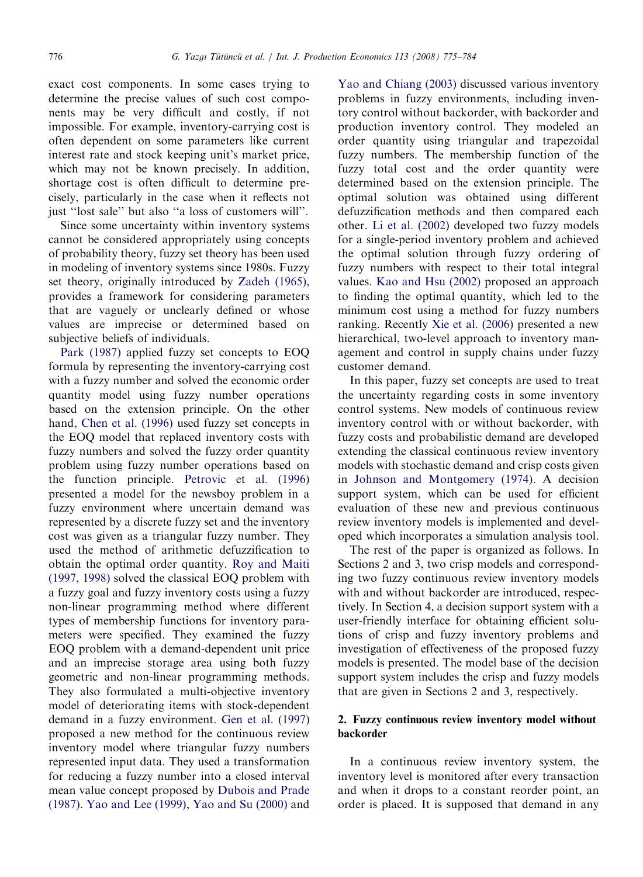exact cost components. In some cases trying to determine the precise values of such cost components may be very difficult and costly, if not impossible. For example, inventory-carrying cost is often dependent on some parameters like current interest rate and stock keeping unit's market price, which may not be known precisely. In addition, shortage cost is often difficult to determine precisely, particularly in the case when it reflects not just ''lost sale'' but also ''a loss of customers will''.

Since some uncertainty within inventory systems cannot be considered appropriately using concepts of probability theory, fuzzy set theory has been used in modeling of inventory systems since 1980s. Fuzzy set theory, originally introduced by [Zadeh \(1965\),](#page--1-0) provides a framework for considering parameters that are vaguely or unclearly defined or whose values are imprecise or determined based on subjective beliefs of individuals.

[Park \(1987\)](#page--1-0) applied fuzzy set concepts to EOQ formula by representing the inventory-carrying cost with a fuzzy number and solved the economic order quantity model using fuzzy number operations based on the extension principle. On the other hand, [Chen et al. \(1996\)](#page--1-0) used fuzzy set concepts in the EOQ model that replaced inventory costs with fuzzy numbers and solved the fuzzy order quantity problem using fuzzy number operations based on the function principle. [Petrovic et al. \(1996\)](#page--1-0) presented a model for the newsboy problem in a fuzzy environment where uncertain demand was represented by a discrete fuzzy set and the inventory cost was given as a triangular fuzzy number. They used the method of arithmetic defuzzification to obtain the optimal order quantity. [Roy and Maiti](#page--1-0) [\(1997, 1998\)](#page--1-0) solved the classical EOQ problem with a fuzzy goal and fuzzy inventory costs using a fuzzy non-linear programming method where different types of membership functions for inventory parameters were specified. They examined the fuzzy EOQ problem with a demand-dependent unit price and an imprecise storage area using both fuzzy geometric and non-linear programming methods. They also formulated a multi-objective inventory model of deteriorating items with stock-dependent demand in a fuzzy environment. [Gen et al. \(1997\)](#page--1-0) proposed a new method for the continuous review inventory model where triangular fuzzy numbers represented input data. They used a transformation for reducing a fuzzy number into a closed interval mean value concept proposed by [Dubois and Prade](#page--1-0) [\(1987\).](#page--1-0) [Yao and Lee \(1999\),](#page--1-0) [Yao and Su \(2000\)](#page--1-0) and

[Yao and Chiang \(2003\)](#page--1-0) discussed various inventory problems in fuzzy environments, including inventory control without backorder, with backorder and production inventory control. They modeled an order quantity using triangular and trapezoidal fuzzy numbers. The membership function of the fuzzy total cost and the order quantity were determined based on the extension principle. The optimal solution was obtained using different defuzzification methods and then compared each other. [Li et al. \(2002\)](#page--1-0) developed two fuzzy models for a single-period inventory problem and achieved the optimal solution through fuzzy ordering of fuzzy numbers with respect to their total integral values. [Kao and Hsu \(2002\)](#page--1-0) proposed an approach to finding the optimal quantity, which led to the minimum cost using a method for fuzzy numbers ranking. Recently [Xie et al. \(2006\)](#page--1-0) presented a new hierarchical, two-level approach to inventory management and control in supply chains under fuzzy customer demand.

In this paper, fuzzy set concepts are used to treat the uncertainty regarding costs in some inventory control systems. New models of continuous review inventory control with or without backorder, with fuzzy costs and probabilistic demand are developed extending the classical continuous review inventory models with stochastic demand and crisp costs given in [Johnson and Montgomery \(1974\)](#page--1-0). A decision support system, which can be used for efficient evaluation of these new and previous continuous review inventory models is implemented and developed which incorporates a simulation analysis tool.

The rest of the paper is organized as follows. In Sections 2 and 3, two crisp models and corresponding two fuzzy continuous review inventory models with and without backorder are introduced, respectively. In Section 4, a decision support system with a user-friendly interface for obtaining efficient solutions of crisp and fuzzy inventory problems and investigation of effectiveness of the proposed fuzzy models is presented. The model base of the decision support system includes the crisp and fuzzy models that are given in Sections 2 and 3, respectively.

### 2. Fuzzy continuous review inventory model without backorder

In a continuous review inventory system, the inventory level is monitored after every transaction and when it drops to a constant reorder point, an order is placed. It is supposed that demand in any